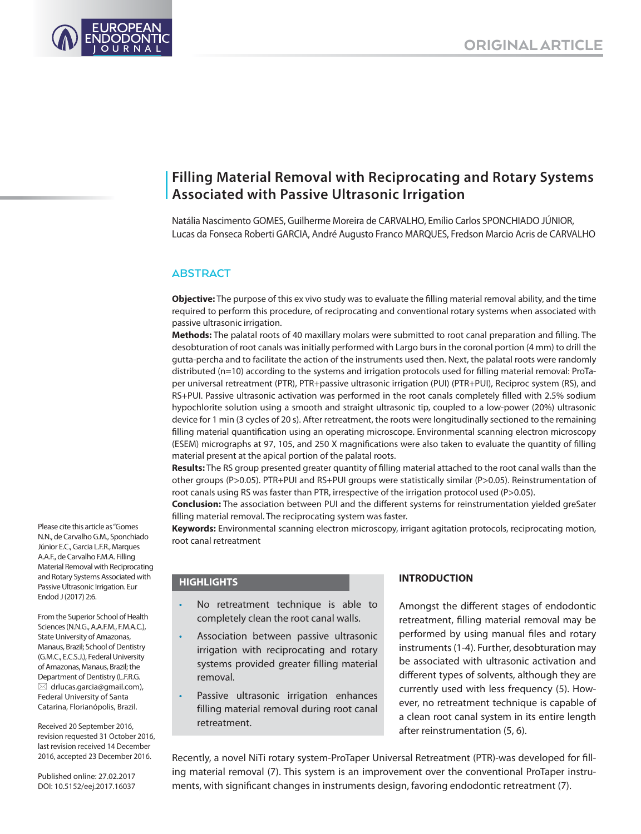

# **Filling Material Removal with Reciprocating and Rotary Systems Associated with Passive Ultrasonic Irrigation**

Natália Nascimento GOMES, Guilherme Moreira de CARVALHO, Emílio Carlos SPONCHIADO JÚNIOR, Lucas da Fonseca Roberti GARCIA, André Augusto Franco MARQUES, Fredson Marcio Acris de CARVALHO

# **ABSTRACT**

**Objective:** The purpose of this ex vivo study was to evaluate the filling material removal ability, and the time required to perform this procedure, of reciprocating and conventional rotary systems when associated with passive ultrasonic irrigation.

**Methods:** The palatal roots of 40 maxillary molars were submitted to root canal preparation and filling. The desobturation of root canals was initially performed with Largo burs in the coronal portion (4 mm) to drill the gutta-percha and to facilitate the action of the instruments used then. Next, the palatal roots were randomly distributed (n=10) according to the systems and irrigation protocols used for filling material removal: ProTaper universal retreatment (PTR), PTR+passive ultrasonic irrigation (PUI) (PTR+PUI), Reciproc system (RS), and RS+PUI. Passive ultrasonic activation was performed in the root canals completely filled with 2.5% sodium hypochlorite solution using a smooth and straight ultrasonic tip, coupled to a low-power (20%) ultrasonic device for 1 min (3 cycles of 20 s). After retreatment, the roots were longitudinally sectioned to the remaining filling material quantification using an operating microscope. Environmental scanning electron microscopy (ESEM) micrographs at 97, 105, and 250 X magnifications were also taken to evaluate the quantity of filling material present at the apical portion of the palatal roots.

**Results:** The RS group presented greater quantity of filling material attached to the root canal walls than the other groups (P>0.05). PTR+PUI and RS+PUI groups were statistically similar (P>0.05). Reinstrumentation of root canals using RS was faster than PTR, irrespective of the irrigation protocol used (P>0.05).

**Conclusion:** The association between PUI and the different systems for reinstrumentation yielded greSater filling material removal. The reciprocating system was faster.

**Keywords:** Environmental scanning electron microscopy, irrigant agitation protocols, reciprocating motion, root canal retreatment

## **HIGHLIGHTS**

- No retreatment technique is able to completely clean the root canal walls.
- Association between passive ultrasonic irrigation with reciprocating and rotary systems provided greater filling material removal.
- Passive ultrasonic irrigation enhances filling material removal during root canal retreatment.

# **INTRODUCTION**

Amongst the different stages of endodontic retreatment, filling material removal may be performed by using manual files and rotary instruments (1-4). Further, desobturation may be associated with ultrasonic activation and different types of solvents, although they are currently used with less frequency (5). However, no retreatment technique is capable of a clean root canal system in its entire length after reinstrumentation (5, 6).

Recently, a novel NiTi rotary system-ProTaper Universal Retreatment (PTR)-was developed for filling material removal (7). This system is an improvement over the conventional ProTaper instruments, with significant changes in instruments design, favoring endodontic retreatment (7).

Please cite this article as "Gomes N.N., de Carvalho G.M., Sponchiado Júnior E.C., Garcia L.F.R., Marques A.A.F., de Carvalho F.M.A. Filling Material Removal with Reciprocating and Rotary Systems Associated with Passive Ultrasonic Irrigation. Eur Endod J (2017) 2:6.

From the Superior School of Health Sciences (N.N.G., A.A.F.M., F.M.A.C.), State University of Amazonas, Manaus, Brazil; School of Dentistry (G.M.C., E.C.S.J.), Federal University of Amazonas, Manaus, Brazil; the Department of Dentistry (L.F.R.G.  $\boxtimes$  drlucas.garcia@gmail.com), Federal University of Santa Catarina, Florianópolis, Brazil.

Received 20 September 2016, revision requested 31 October 2016, last revision received 14 December 2016, accepted 23 December 2016.

Published online: 27.02.2017 DOI: 10.5152/eej.2017.16037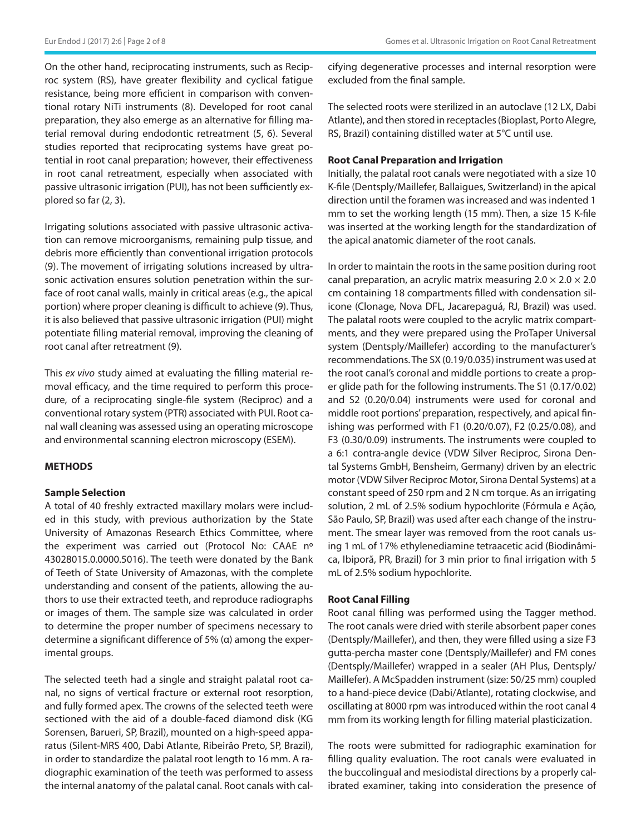On the other hand, reciprocating instruments, such as Reciproc system (RS), have greater flexibility and cyclical fatigue resistance, being more efficient in comparison with conventional rotary NiTi instruments (8). Developed for root canal preparation, they also emerge as an alternative for filling material removal during endodontic retreatment (5, 6). Several studies reported that reciprocating systems have great potential in root canal preparation; however, their effectiveness in root canal retreatment, especially when associated with passive ultrasonic irrigation (PUI), has not been sufficiently explored so far (2, 3).

Irrigating solutions associated with passive ultrasonic activation can remove microorganisms, remaining pulp tissue, and debris more efficiently than conventional irrigation protocols (9). The movement of irrigating solutions increased by ultrasonic activation ensures solution penetration within the surface of root canal walls, mainly in critical areas (e.g., the apical portion) where proper cleaning is difficult to achieve (9). Thus, it is also believed that passive ultrasonic irrigation (PUI) might potentiate filling material removal, improving the cleaning of root canal after retreatment (9).

This *ex vivo* study aimed at evaluating the filling material removal efficacy, and the time required to perform this procedure, of a reciprocating single-file system (Reciproc) and a conventional rotary system (PTR) associated with PUI. Root canal wall cleaning was assessed using an operating microscope and environmental scanning electron microscopy (ESEM).

# **METHODS**

## **Sample Selection**

A total of 40 freshly extracted maxillary molars were included in this study, with previous authorization by the State University of Amazonas Research Ethics Committee, where the experiment was carried out (Protocol No: CAAE nº 43028015.0.0000.5016). The teeth were donated by the Bank of Teeth of State University of Amazonas, with the complete understanding and consent of the patients, allowing the authors to use their extracted teeth, and reproduce radiographs or images of them. The sample size was calculated in order to determine the proper number of specimens necessary to determine a significant difference of 5% (α) among the experimental groups.

The selected teeth had a single and straight palatal root canal, no signs of vertical fracture or external root resorption, and fully formed apex. The crowns of the selected teeth were sectioned with the aid of a double-faced diamond disk (KG Sorensen, Barueri, SP, Brazil), mounted on a high-speed apparatus (Silent-MRS 400, Dabi Atlante, Ribeirão Preto, SP, Brazil), in order to standardize the palatal root length to 16 mm. A radiographic examination of the teeth was performed to assess the internal anatomy of the palatal canal. Root canals with calcifying degenerative processes and internal resorption were excluded from the final sample.

The selected roots were sterilized in an autoclave (12 LX, Dabi Atlante), and then stored in receptacles (Bioplast, Porto Alegre, RS, Brazil) containing distilled water at 5°C until use.

## **Root Canal Preparation and Irrigation**

Initially, the palatal root canals were negotiated with a size 10 K-file (Dentsply/Maillefer, Ballaigues, Switzerland) in the apical direction until the foramen was increased and was indented 1 mm to set the working length (15 mm). Then, a size 15 K-file was inserted at the working length for the standardization of the apical anatomic diameter of the root canals.

In order to maintain the roots in the same position during root canal preparation, an acrylic matrix measuring  $2.0 \times 2.0 \times 2.0$ cm containing 18 compartments filled with condensation silicone (Clonage, Nova DFL, Jacarepaguá, RJ, Brazil) was used. The palatal roots were coupled to the acrylic matrix compartments, and they were prepared using the ProTaper Universal system (Dentsply/Maillefer) according to the manufacturer's recommendations. The SX (0.19/0.035) instrument was used at the root canal's coronal and middle portions to create a proper glide path for the following instruments. The S1 (0.17/0.02) and S2 (0.20/0.04) instruments were used for coronal and middle root portions' preparation, respectively, and apical finishing was performed with F1 (0.20/0.07), F2 (0.25/0.08), and F3 (0.30/0.09) instruments. The instruments were coupled to a 6:1 contra-angle device (VDW Silver Reciproc, Sirona Dental Systems GmbH, Bensheim, Germany) driven by an electric motor (VDW Silver Reciproc Motor, Sirona Dental Systems) at a constant speed of 250 rpm and 2 N cm torque. As an irrigating solution, 2 mL of 2.5% sodium hypochlorite (Fórmula e Ação, São Paulo, SP, Brazil) was used after each change of the instrument. The smear layer was removed from the root canals using 1 mL of 17% ethylenediamine tetraacetic acid (Biodinâmica, Ibiporã, PR, Brazil) for 3 min prior to final irrigation with 5 mL of 2.5% sodium hypochlorite.

## **Root Canal Filling**

Root canal filling was performed using the Tagger method. The root canals were dried with sterile absorbent paper cones (Dentsply/Maillefer), and then, they were filled using a size F3 gutta-percha master cone (Dentsply/Maillefer) and FM cones (Dentsply/Maillefer) wrapped in a sealer (AH Plus, Dentsply/ Maillefer). A McSpadden instrument (size: 50/25 mm) coupled to a hand-piece device (Dabi/Atlante), rotating clockwise, and oscillating at 8000 rpm was introduced within the root canal 4 mm from its working length for filling material plasticization.

The roots were submitted for radiographic examination for filling quality evaluation. The root canals were evaluated in the buccolingual and mesiodistal directions by a properly calibrated examiner, taking into consideration the presence of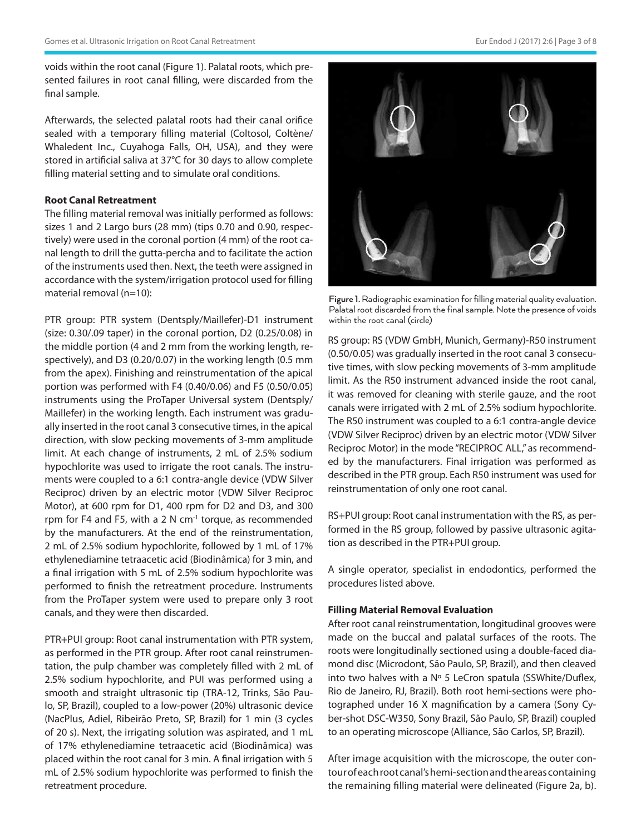voids within the root canal (Figure 1). Palatal roots, which presented failures in root canal filling, were discarded from the final sample.

Afterwards, the selected palatal roots had their canal orifice sealed with a temporary filling material (Coltosol, Coltène/ Whaledent Inc., Cuyahoga Falls, OH, USA), and they were stored in artificial saliva at 37°C for 30 days to allow complete filling material setting and to simulate oral conditions.

#### **Root Canal Retreatment**

The filling material removal was initially performed as follows: sizes 1 and 2 Largo burs (28 mm) (tips 0.70 and 0.90, respectively) were used in the coronal portion (4 mm) of the root canal length to drill the gutta-percha and to facilitate the action of the instruments used then. Next, the teeth were assigned in accordance with the system/irrigation protocol used for filling material removal (n=10):

PTR group: PTR system (Dentsply/Maillefer)-D1 instrument (size: 0.30/.09 taper) in the coronal portion, D2 (0.25/0.08) in the middle portion (4 and 2 mm from the working length, respectively), and D3 (0.20/0.07) in the working length (0.5 mm from the apex). Finishing and reinstrumentation of the apical portion was performed with F4 (0.40/0.06) and F5 (0.50/0.05) instruments using the ProTaper Universal system (Dentsply/ Maillefer) in the working length. Each instrument was gradually inserted in the root canal 3 consecutive times, in the apical direction, with slow pecking movements of 3-mm amplitude limit. At each change of instruments, 2 mL of 2.5% sodium hypochlorite was used to irrigate the root canals. The instruments were coupled to a 6:1 contra-angle device (VDW Silver Reciproc) driven by an electric motor (VDW Silver Reciproc Motor), at 600 rpm for D1, 400 rpm for D2 and D3, and 300 rpm for F4 and F5, with a 2 N  $cm^{-1}$  torque, as recommended by the manufacturers. At the end of the reinstrumentation, 2 mL of 2.5% sodium hypochlorite, followed by 1 mL of 17% ethylenediamine tetraacetic acid (Biodinâmica) for 3 min, and a final irrigation with 5 mL of 2.5% sodium hypochlorite was performed to finish the retreatment procedure. Instruments from the ProTaper system were used to prepare only 3 root canals, and they were then discarded.

PTR+PUI group: Root canal instrumentation with PTR system, as performed in the PTR group. After root canal reinstrumentation, the pulp chamber was completely filled with 2 mL of 2.5% sodium hypochlorite, and PUI was performed using a smooth and straight ultrasonic tip (TRA-12, Trinks, São Paulo, SP, Brazil), coupled to a low-power (20%) ultrasonic device (NacPlus, Adiel, Ribeirão Preto, SP, Brazil) for 1 min (3 cycles of 20 s). Next, the irrigating solution was aspirated, and 1 mL of 17% ethylenediamine tetraacetic acid (Biodinâmica) was placed within the root canal for 3 min. A final irrigation with 5 mL of 2.5% sodium hypochlorite was performed to finish the retreatment procedure.



**Figure 1.** Radiographic examination for filling material quality evaluation. Palatal root discarded from the final sample. Note the presence of voids within the root canal (circle)

RS group: RS (VDW GmbH, Munich, Germany)-R50 instrument (0.50/0.05) was gradually inserted in the root canal 3 consecutive times, with slow pecking movements of 3-mm amplitude limit. As the R50 instrument advanced inside the root canal, it was removed for cleaning with sterile gauze, and the root canals were irrigated with 2 mL of 2.5% sodium hypochlorite. The R50 instrument was coupled to a 6:1 contra-angle device (VDW Silver Reciproc) driven by an electric motor (VDW Silver Reciproc Motor) in the mode "RECIPROC ALL," as recommended by the manufacturers. Final irrigation was performed as described in the PTR group. Each R50 instrument was used for reinstrumentation of only one root canal.

RS+PUI group: Root canal instrumentation with the RS, as performed in the RS group, followed by passive ultrasonic agitation as described in the PTR+PUI group.

A single operator, specialist in endodontics, performed the procedures listed above.

### **Filling Material Removal Evaluation**

After root canal reinstrumentation, longitudinal grooves were made on the buccal and palatal surfaces of the roots. The roots were longitudinally sectioned using a double-faced diamond disc (Microdont, São Paulo, SP, Brazil), and then cleaved into two halves with a Nº 5 LeCron spatula (SSWhite/Duflex, Rio de Janeiro, RJ, Brazil). Both root hemi-sections were photographed under 16 X magnification by a camera (Sony Cyber-shot DSC-W350, Sony Brazil, São Paulo, SP, Brazil) coupled to an operating microscope (Alliance, São Carlos, SP, Brazil).

After image acquisition with the microscope, the outer contour of each root canal's hemi-section and the areas containing the remaining filling material were delineated (Figure 2a, b).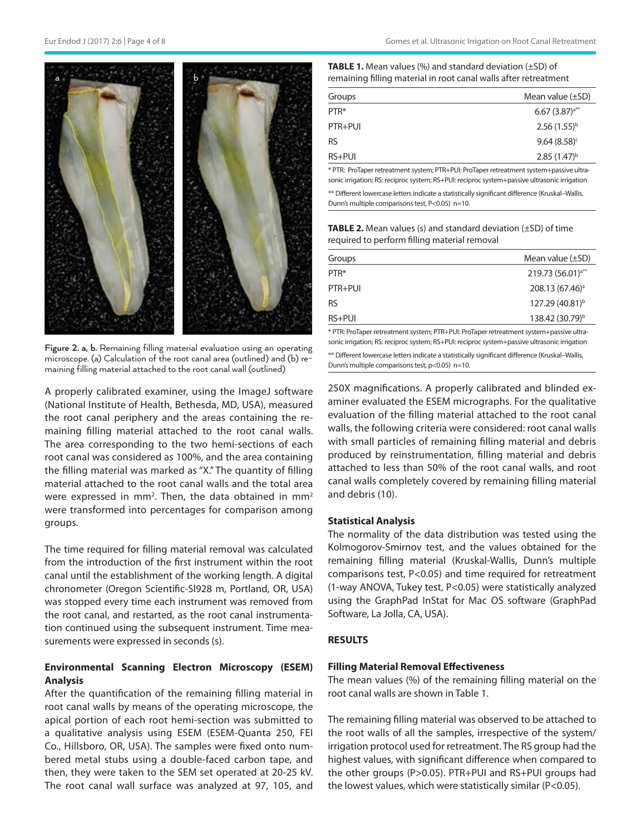

**Figure 2. a, b.** Remaining filling material evaluation using an operating microscope. (a) Calculation of the root canal area (outlined) and (b) remaining filling material attached to the root canal wall (outlined)

A properly calibrated examiner, using the ImageJ software (National Institute of Health, Bethesda, MD, USA), measured the root canal periphery and the areas containing the remaining filling material attached to the root canal walls. The area corresponding to the two hemi-sections of each root canal was considered as 100%, and the area containing the filling material was marked as "X." The quantity of filling material attached to the root canal walls and the total area were expressed in mm<sup>2</sup>. Then, the data obtained in mm<sup>2</sup> were transformed into percentages for comparison among groups.

The time required for filling material removal was calculated from the introduction of the first instrument within the root canal until the establishment of the working length. A digital chronometer (Oregon Scientific-Sl928 m, Portland, OR, USA) was stopped every time each instrument was removed from the root canal, and restarted, as the root canal instrumentation continued using the subsequent instrument. Time measurements were expressed in seconds (s).

# **Environmental Scanning Electron Microscopy (ESEM) Analysis**

After the quantification of the remaining filling material in root canal walls by means of the operating microscope, the apical portion of each root hemi-section was submitted to a qualitative analysis using ESEM (ESEM-Quanta 250, FEI Co., Hillsboro, OR, USA). The samples were fixed onto numbered metal stubs using a double-faced carbon tape, and then, they were taken to the SEM set operated at 20-25 kV. The root canal wall surface was analyzed at 97, 105, and

| <b>TABLE 1.</b> Mean values $\frac{1}{2}$ and standard deviation $(\pm SD)$ of |
|--------------------------------------------------------------------------------|
| remaining filling material in root canal walls after retreatment               |

| Groups    | Mean value $(\pm SD)$ |
|-----------|-----------------------|
| PTR*      | $6.67(3.87)a**$       |
| $PTR+PU$  | $2.56(1.55)^{b}$      |
| <b>RS</b> | $9.64(8.58)^c$        |
| $RS+PUI$  | $2.85(1.47)^{b}$      |

\* PTR: ProTaper retreatment system; PTR+PUI: ProTaper retreatment system+passive ultrasonic irrigation; RS: reciproc system; RS+PUI: reciproc system+passive ultrasonic irrigation

\*\* Different lowercase letters indicate a statistically significant difference (Kruskal–Wallis, Dunn's multiple comparisons test, P<0.05) n=10.

**TABLE 2.** Mean values (s) and standard deviation (±SD) of time required to perform filling material removal

| Groups    | Mean value $(\pm SD)$         |
|-----------|-------------------------------|
| PTR*      | 219.73 (56.01) <sup>a**</sup> |
| $PTR+PU$  | 208.13 (67.46) <sup>a</sup>   |
| <b>RS</b> | 127.29 (40.81) <sup>b</sup>   |
| $RS+PUI$  | 138.42 (30.79) <sup>b</sup>   |
|           |                               |

\* PTR: ProTaper retreatment system; PTR+PUI: ProTaper retreatment system+passive ultrasonic irrigation; RS: reciproc system; RS+PUI: reciproc system+passive ultrasonic irrigation \*\* Different lowercase letters indicate a statistically significant difference (Kruskal–Wallis, Dunn's multiple comparisons test, p<0.05) n=10.

250X magnifications. A properly calibrated and blinded examiner evaluated the ESEM micrographs. For the qualitative evaluation of the filling material attached to the root canal walls, the following criteria were considered: root canal walls with small particles of remaining filling material and debris produced by reinstrumentation, filling material and debris attached to less than 50% of the root canal walls, and root canal walls completely covered by remaining filling material and debris (10).

#### **Statistical Analysis**

The normality of the data distribution was tested using the Kolmogorov-Smirnov test, and the values obtained for the remaining filling material (Kruskal-Wallis, Dunn's multiple comparisons test, P<0.05) and time required for retreatment (1-way ANOVA, Tukey test, P<0.05) were statistically analyzed using the GraphPad InStat for Mac OS software (GraphPad Software, La Jolla, CA, USA).

# **RESULTS**

### **Filling Material Removal Effectiveness**

The mean values (%) of the remaining filling material on the root canal walls are shown in Table 1.

The remaining filling material was observed to be attached to the root walls of all the samples, irrespective of the system/ irrigation protocol used for retreatment. The RS group had the highest values, with significant difference when compared to the other groups (P>0.05). PTR+PUI and RS+PUI groups had the lowest values, which were statistically similar (P<0.05).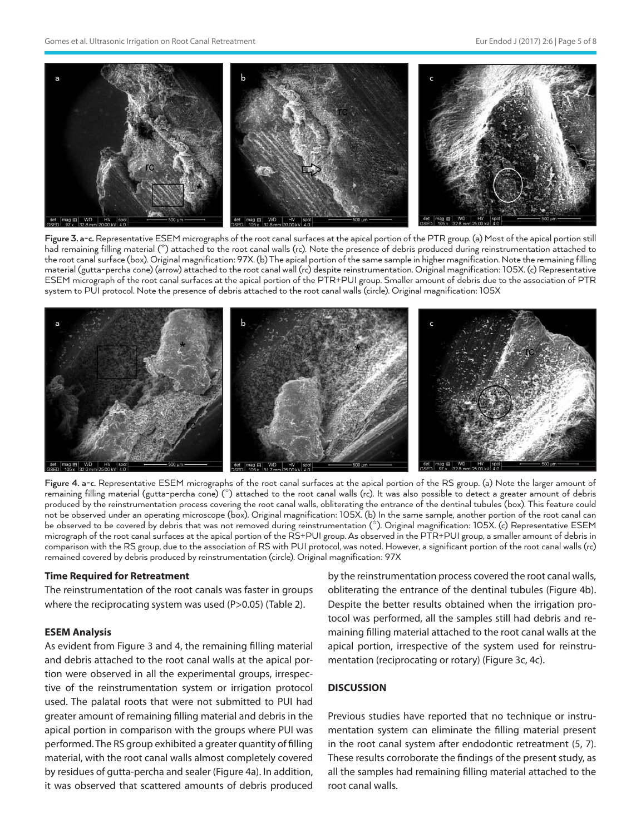

**Figure 3. a-c.** Representative ESEM micrographs of the root canal surfaces at the apical portion of the PTR group. (a) Most of the apical portion still had remaining filling material (\*) attached to the root canal walls (rc). Note the presence of debris produced during reinstrumentation attached to the root canal surface (box). Original magnification: 97X. (b) The apical portion of the same sample in higher magnification. Note the remaining filling material (gutta-percha cone) (arrow) attached to the root canal wall (rc) despite reinstrumentation. Original magnification: 105X. (c) Representative ESEM micrograph of the root canal surfaces at the apical portion of the PTR+PUI group. Smaller amount of debris due to the association of PTR system to PUI protocol. Note the presence of debris attached to the root canal walls (circle). Original magnification: 105X



**Figure 4. a-c.** Representative ESEM micrographs of the root canal surfaces at the apical portion of the RS group. (a) Note the larger amount of remaining filling material (gutta-percha cone) (\*) attached to the root canal walls (rc). It was also possible to detect a greater amount of debris produced by the reinstrumentation process covering the root canal walls, obliterating the entrance of the dentinal tubules (box). This feature could not be observed under an operating microscope (box). Original magnification: 105X. (b) In the same sample, another portion of the root canal can be observed to be covered by debris that was not removed during reinstrumentation (\*). Original magnification: 105X. (c) Representative ESEM micrograph of the root canal surfaces at the apical portion of the RS+PUI group. As observed in the PTR+PUI group, a smaller amount of debris in comparison with the RS group, due to the association of RS with PUI protocol, was noted. However, a significant portion of the root canal walls (rc) remained covered by debris produced by reinstrumentation (circle). Original magnification: 97X

### **Time Required for Retreatment**

The reinstrumentation of the root canals was faster in groups where the reciprocating system was used (P>0.05) (Table 2).

# **ESEM Analysis**

As evident from Figure 3 and 4, the remaining filling material and debris attached to the root canal walls at the apical portion were observed in all the experimental groups, irrespective of the reinstrumentation system or irrigation protocol used. The palatal roots that were not submitted to PUI had greater amount of remaining filling material and debris in the apical portion in comparison with the groups where PUI was performed. The RS group exhibited a greater quantity of filling material, with the root canal walls almost completely covered by residues of gutta-percha and sealer (Figure 4a). In addition, it was observed that scattered amounts of debris produced

by the reinstrumentation process covered the root canal walls, obliterating the entrance of the dentinal tubules (Figure 4b). Despite the better results obtained when the irrigation protocol was performed, all the samples still had debris and remaining filling material attached to the root canal walls at the apical portion, irrespective of the system used for reinstrumentation (reciprocating or rotary) (Figure 3c, 4c).

# **DISCUSSION**

Previous studies have reported that no technique or instrumentation system can eliminate the filling material present in the root canal system after endodontic retreatment (5, 7). These results corroborate the findings of the present study, as all the samples had remaining filling material attached to the root canal walls.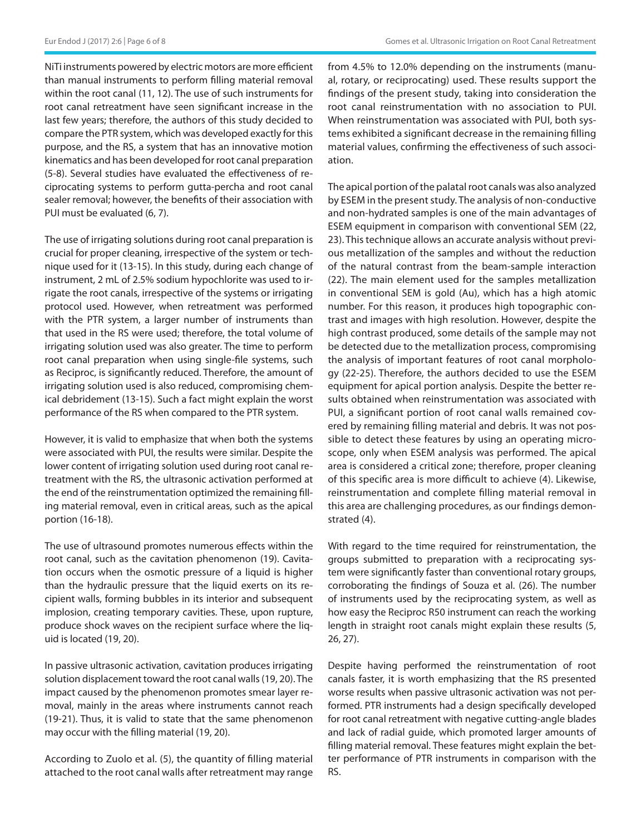NiTi instruments powered by electric motors are more efficient than manual instruments to perform filling material removal within the root canal (11, 12). The use of such instruments for root canal retreatment have seen significant increase in the last few years; therefore, the authors of this study decided to compare the PTR system, which was developed exactly for this purpose, and the RS, a system that has an innovative motion kinematics and has been developed for root canal preparation (5-8). Several studies have evaluated the effectiveness of reciprocating systems to perform gutta-percha and root canal sealer removal; however, the benefits of their association with PUI must be evaluated (6, 7).

The use of irrigating solutions during root canal preparation is crucial for proper cleaning, irrespective of the system or technique used for it (13-15). In this study, during each change of instrument, 2 mL of 2.5% sodium hypochlorite was used to irrigate the root canals, irrespective of the systems or irrigating protocol used. However, when retreatment was performed with the PTR system, a larger number of instruments than that used in the RS were used; therefore, the total volume of irrigating solution used was also greater. The time to perform root canal preparation when using single-file systems, such as Reciproc, is significantly reduced. Therefore, the amount of irrigating solution used is also reduced, compromising chemical debridement (13-15). Such a fact might explain the worst performance of the RS when compared to the PTR system.

However, it is valid to emphasize that when both the systems were associated with PUI, the results were similar. Despite the lower content of irrigating solution used during root canal retreatment with the RS, the ultrasonic activation performed at the end of the reinstrumentation optimized the remaining filling material removal, even in critical areas, such as the apical portion (16-18).

The use of ultrasound promotes numerous effects within the root canal, such as the cavitation phenomenon (19). Cavitation occurs when the osmotic pressure of a liquid is higher than the hydraulic pressure that the liquid exerts on its recipient walls, forming bubbles in its interior and subsequent implosion, creating temporary cavities. These, upon rupture, produce shock waves on the recipient surface where the liquid is located (19, 20).

In passive ultrasonic activation, cavitation produces irrigating solution displacement toward the root canal walls (19, 20). The impact caused by the phenomenon promotes smear layer removal, mainly in the areas where instruments cannot reach (19-21). Thus, it is valid to state that the same phenomenon may occur with the filling material (19, 20).

According to Zuolo et al. (5), the quantity of filling material attached to the root canal walls after retreatment may range from 4.5% to 12.0% depending on the instruments (manual, rotary, or reciprocating) used. These results support the findings of the present study, taking into consideration the root canal reinstrumentation with no association to PUI. When reinstrumentation was associated with PUI, both systems exhibited a significant decrease in the remaining filling material values, confirming the effectiveness of such association.

The apical portion of the palatal root canals was also analyzed by ESEM in the present study. The analysis of non-conductive and non-hydrated samples is one of the main advantages of ESEM equipment in comparison with conventional SEM (22, 23). This technique allows an accurate analysis without previous metallization of the samples and without the reduction of the natural contrast from the beam-sample interaction (22). The main element used for the samples metallization in conventional SEM is gold (Au), which has a high atomic number. For this reason, it produces high topographic contrast and images with high resolution. However, despite the high contrast produced, some details of the sample may not be detected due to the metallization process, compromising the analysis of important features of root canal morphology (22-25). Therefore, the authors decided to use the ESEM equipment for apical portion analysis. Despite the better results obtained when reinstrumentation was associated with PUI, a significant portion of root canal walls remained covered by remaining filling material and debris. It was not possible to detect these features by using an operating microscope, only when ESEM analysis was performed. The apical area is considered a critical zone; therefore, proper cleaning of this specific area is more difficult to achieve (4). Likewise, reinstrumentation and complete filling material removal in this area are challenging procedures, as our findings demonstrated (4).

With regard to the time required for reinstrumentation, the groups submitted to preparation with a reciprocating system were significantly faster than conventional rotary groups, corroborating the findings of Souza et al. (26). The number of instruments used by the reciprocating system, as well as how easy the Reciproc R50 instrument can reach the working length in straight root canals might explain these results (5, 26, 27).

Despite having performed the reinstrumentation of root canals faster, it is worth emphasizing that the RS presented worse results when passive ultrasonic activation was not performed. PTR instruments had a design specifically developed for root canal retreatment with negative cutting-angle blades and lack of radial guide, which promoted larger amounts of filling material removal. These features might explain the better performance of PTR instruments in comparison with the RS.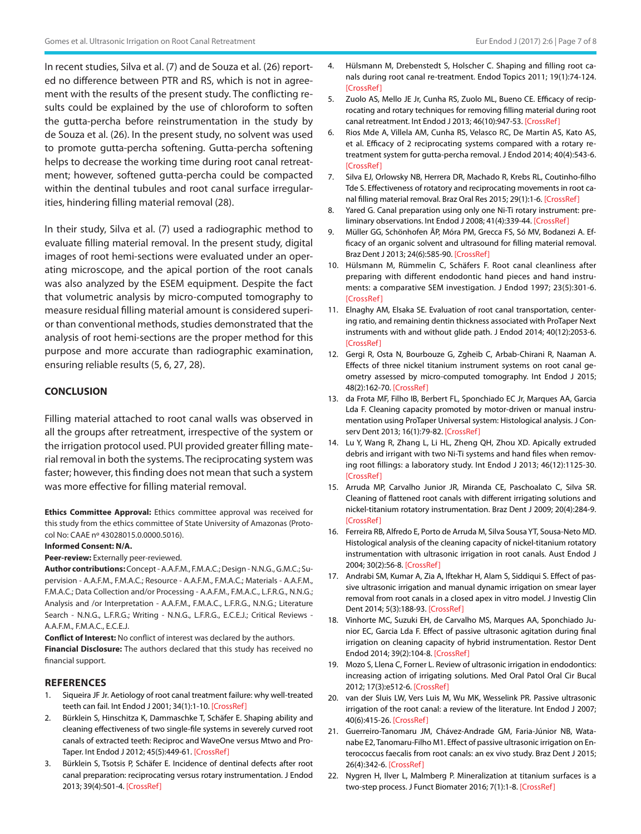In recent studies, Silva et al. (7) and de Souza et al. (26) reported no difference between PTR and RS, which is not in agreement with the results of the present study. The conflicting results could be explained by the use of chloroform to soften the gutta-percha before reinstrumentation in the study by de Souza et al. (26). In the present study, no solvent was used to promote gutta-percha softening. Gutta-percha softening helps to decrease the working time during root canal retreatment; however, softened gutta-percha could be compacted within the dentinal tubules and root canal surface irregularities, hindering filling material removal (28).

In their study, Silva et al. (7) used a radiographic method to evaluate filling material removal. In the present study, digital images of root hemi-sections were evaluated under an operating microscope, and the apical portion of the root canals was also analyzed by the ESEM equipment. Despite the fact that volumetric analysis by micro-computed tomography to measure residual filling material amount is considered superior than conventional methods, studies demonstrated that the analysis of root hemi-sections are the proper method for this purpose and more accurate than radiographic examination, ensuring reliable results (5, 6, 27, 28).

### **CONCLUSION**

Filling material attached to root canal walls was observed in all the groups after retreatment, irrespective of the system or the irrigation protocol used. PUI provided greater filling material removal in both the systems. The reciprocating system was faster; however, this finding does not mean that such a system was more effective for filling material removal.

**Ethics Committee Approval:** Ethics committee approval was received for this study from the ethics committee of State University of Amazonas (Protocol No: CAAE nº 43028015.0.0000.5016).

#### **Informed Consent: N/A.**

Peer-review: Externally peer-reviewed.

**Author contributions:** Concept - A.A.F.M., F.M.A.C.; Design - N.N.G., G.M.C.; Supervision - A.A.F.M., F.M.A.C.; Resource - A.A.F.M., F.M.A.C.; Materials - A.A.F.M., F.M.A.C.; Data Collection and/or Processing - A.A.F.M., F.M.A.C., L.F.R.G., N.N.G.; Analysis and /or Interpretation - A.A.F.M., F.M.A.C., L.F.R.G., N.N.G.; Literature Search - N.N.G., L.F.R.G.; Writing - N.N.G., L.F.R.G., E.C.E.J.; Critical Reviews -A.A.F.M., F.M.A.C., E.C.E.J.

**Conflict of Interest:** No conflict of interest was declared by the authors. **Financial Disclosure:** The authors declared that this study has received no financial support.

#### **REFERENCES**

- 1. Siqueira JF Jr. Aetiology of root canal treatment failure: why well-treated teeth can fail. Int Endod J 2001; 34(1):1-10. [\[CrossRef\]](https://doi.org/10.1046/j.1365-2591.2001.00396.x)
- 2. Bürklein S, Hinschitza K, Dammaschke T, Schäfer E. Shaping ability and cleaning effectiveness of two single-file systems in severely curved root canals of extracted teeth: Reciproc and WaveOne versus Mtwo and Pro-Taper. Int Endod J 2012; 45(5):449-61. [[CrossRef](https://doi.org/10.1111/j.1365-2591.2011.01996.x)]
- 3. Bürklein S, Tsotsis P, Schäfer E. Incidence of dentinal defects after root canal preparation: reciprocating versus rotary instrumentation. J Endod 2013; 39(4):501-4. [\[CrossRef\]](https://doi.org/10.1016/j.joen.2012.11.045)
- 4. Hülsmann M, Drebenstedt S, Holscher C. Shaping and filling root canals during root canal re-treatment. Endod Topics 2011; 19(1):74-124. [\[CrossRef](https://doi.org/10.1111/j.1601-1546.2011.00264.x)]
- 5. Zuolo AS, Mello JE Jr, Cunha RS, Zuolo ML, Bueno CE. Efficacy of reciprocating and rotary techniques for removing filling material during root canal retreatment. Int Endod J 2013; 46(10):947-53. [\[CrossRef\]](https://doi.org/10.1111/iej.12085)
- 6. Rios Mde A, Villela AM, Cunha RS, Velasco RC, De Martin AS, Kato AS, et al. Efficacy of 2 reciprocating systems compared with a rotary retreatment system for gutta-percha removal. J Endod 2014; 40(4):543-6. [\[CrossRef](https://doi.org/10.1016/j.joen.2013.11.013)]
- 7. Silva EJ, Orlowsky NB, Herrera DR, Machado R, Krebs RL, Coutinho-filho Tde S. Effectiveness of rotatory and reciprocating movements in root canal filling material removal. Braz Oral Res 2015; 29(1):1-6. [[CrossRef](https://doi.org/10.1590/1807-3107BOR-2015.vol29.0101)]
- 8. Yared G. Canal preparation using only one Ni-Ti rotary instrument: preliminary observations. Int Endod J 2008; 41(4):339-44. [[CrossRef](https://doi.org/10.1111/j.1365-2591.2007.01351.x)]
- 9. Müller GG, Schönhofen ÂP, Móra PM, Grecca FS, Só MV, Bodanezi A. Efficacy of an organic solvent and ultrasound for filling material removal. Braz Dent J 2013; 24(6):585-90. [\[CrossRef\]](https://doi.org/10.1590/0103-6440201302252)
- 10. Hülsmann M, Rümmelin C, Schäfers F. Root canal cleanliness after preparing with different endodontic hand pieces and hand instruments: a comparative SEM investigation. J Endod 1997; 23(5):301-6. [\[CrossRef \]](https://doi.org/10.1016/S0099-2399(97)80410-4)
- 11. Elnaghy AM, Elsaka SE. Evaluation of root canal transportation, centering ratio, and remaining dentin thickness associated with ProTaper Next instruments with and without glide path. J Endod 2014; 40(12):2053-6. [\[CrossRef](https://doi.org/10.1016/j.joen.2014.09.001)]
- 12. Gergi R, Osta N, Bourbouze G, Zgheib C, Arbab-Chirani R, Naaman A. Effects of three nickel titanium instrument systems on root canal geometry assessed by micro-computed tomography. Int Endod J 2015; 48(2):162-70. [[CrossRef](https://doi.org/10.1111/iej.12296)]
- 13. da Frota MF, Filho IB, Berbert FL, Sponchiado EC Jr, Marques AA, Garcia Lda F. Cleaning capacity promoted by motor-driven or manual instrumentation using ProTaper Universal system: Histological analysis. J Conserv Dent 2013; 16(1):79-82. [\[CrossRef\]](https://doi.org/10.4103/0972-0707.105305)
- 14. Lu Y, Wang R, Zhang L, Li HL, Zheng QH, Zhou XD. Apically extruded debris and irrigant with two Ni-Ti systems and hand files when removing root fillings: a laboratory study. Int Endod J 2013; 46(12):1125-30. [\[CrossRef](https://doi.org/10.1111/iej.12104)]
- 15. Arruda MP, Carvalho Junior JR, Miranda CE, Paschoalato C, Silva SR. Cleaning of flattened root canals with different irrigating solutions and nickel-titanium rotatory instrumentation. Braz Dent J 2009; 20(4):284-9. [\[CrossRef](https://doi.org/10.1590/S0103-64402009000400004)]
- 16. Ferreira RB, Alfredo E, Porto de Arruda M, Silva Sousa YT, Sousa-Neto MD. Histological analysis of the cleaning capacity of nickel-titanium rotatory instrumentation with ultrasonic irrigation in root canals. Aust Endod J 2004; 30(2):56-8. [\[CrossRef\]](https://doi.org/10.1111/j.1747-4477.2004.tb00182.x)
- 17. Andrabi SM, Kumar A, Zia A, Iftekhar H, Alam S, Siddiqui S. Effect of passive ultrasonic irrigation and manual dynamic irrigation on smear layer removal from root canals in a closed apex in vitro model. J Investig Clin Dent 2014; 5(3):188-93. [[CrossRef\]](https://doi.org/10.1111/jicd.12033)
- 18. Vinhorte MC, Suzuki EH, de Carvalho MS, Marques AA, Sponchiado Junior EC, Garcia Lda F. Effect of passive ultrasonic agitation during final irrigation on cleaning capacity of hybrid instrumentation. Restor Dent Endod 2014; 39(2):104-8. [\[CrossRef](https://doi.org/10.5395/rde.2014.39.2.104)]
- 19. Mozo S, Llena C, Forner L. Review of ultrasonic irrigation in endodontics: increasing action of irrigating solutions. Med Oral Patol Oral Cir Bucal 2012; 17(3):e512-6. [[CrossRef\]](https://doi.org/10.4317/medoral.17621)
- 20. van der Sluis LW, Vers Luis M, Wu MK, Wesselink PR. Passive ultrasonic irrigation of the root canal: a review of the literature. Int Endod J 2007; 40(6):415-26. [[CrossRef](https://doi.org/10.1111/j.1365-2591.2007.01243.x)]
- 21. Guerreiro-Tanomaru JM, Chávez-Andrade GM, Faria-Júnior NB, Watanabe E2, Tanomaru-Filho M1. Effect of passive ultrasonic irrigation on Enterococcus faecalis from root canals: an ex vivo study. Braz Dent J 2015; 26(4):342-6. [[CrossRef](https://doi.org/10.1590/0103-6440201300022)]
- 22. Nygren H, Ilver L, Malmberg P. Mineralization at titanium surfaces is a two-step process. J Funct Biomater 2016; 7(1):1-8. [\[CrossRef\]](https://doi.org/10.3390/jfb7010007)